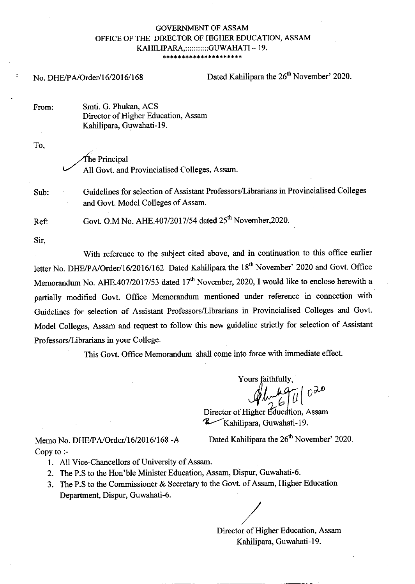# **GOVERNMENT OF ASSAM** OFFICE OF THE DIRECTOR OF HIGHER EDUCATION, ASSAM KAHILIPARA,:::::::::::GUWAHATI - 19.

No. DHE/PA/Order/16/2016/168

Dated Kahilipara the 26<sup>th</sup> November' 2020.

Smti. G. Phukan, ACS From: Director of Higher Education, Assam Kahilipara, Guwahati-19.

To,

The Principal All Govt. and Provincialised Colleges, Assam.

Sub:

Guidelines for selection of Assistant Professors/Librarians in Provincialised Colleges and Govt. Model Colleges of Assam.

Govt. O.M No. AHE.407/2017/54 dated 25<sup>th</sup> November, 2020. Ref:

Sir.

With reference to the subject cited above, and in continuation to this office earlier letter No. DHE/PA/Order/16/2016/162 Dated Kahilipara the 18<sup>th</sup> November' 2020 and Govt. Office Memorandum No. AHE.407/2017/53 dated 17<sup>th</sup> November, 2020, I would like to enclose herewith a partially modified Govt. Office Memorandum mentioned under reference in connection with Guidelines for selection of Assistant Professors/Librarians in Provincialised Colleges and Govt. Model Colleges, Assam and request to follow this new guideline strictly for selection of Assistant Professors/Librarians in your College.

This Govt. Office Memorandum shall come into force with immediate effect.

Yours faithfully,

Director of Higher Education, Assam Kahilipara, Guwahati-19.

Memo No. DHE/PA/Order/16/2016/168-A Copy to  $:$ 

Dated Kahilipara the 26<sup>th</sup> November' 2020.

1. All Vice-Chancellors of University of Assam.

- 2. The P.S to the Hon'ble Minister Education, Assam, Dispur, Guwahati-6.
- 3. The P.S to the Commissioner & Secretary to the Govt. of Assam, Higher Education Department, Dispur, Guwahati-6.

Director of Higher Education, Assam Kahilipara, Guwahati-19.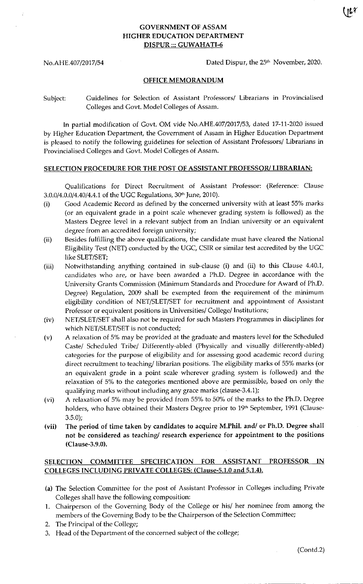## GOVERNMENT OF ASSAM HIGHER EDUCATION DEPARTMENT DISPUR::: GUWAHATI-6

No.AHE.407/2017/54 Dated Dispur, the 25<sup>th</sup> November, 2020.

ur

### OFFICE MEMORANDUM

Subiect: Guidelines for Selection of Assistant Professors/ Librarians in Provinciaiised Colleges and Govt. Model Colleges of Assam.

In partial modification of Govt. OM vide No.AHE.407/2017/53, dated 17-11-2020 issued by Higher Education Department, the Government of Assam in Higher Education Department is pleased to notify the following guidelines for selection of Assistant Professors/ Librarians in Provincialised Colleges and Govt. Model Colleges of Assam.

#### SELECTION PROCEDURE FOR THE POST OF ASSISTANT PROFESSOR/ LIBRARIAN:

Qualifications for Direct Recruitment of Assistant Professor: (Reference: Clause 3.0.0/4.0.0/4.40/4.4.1 of the UGC Regulations, 30<sup>th</sup> June, 2010).

- (i) Good Academic Record as defined by the concerned university with at least 55% marks (or an equivalent grade in a point scale whenever grading system is followed) as the Masters Degree level in a relevant subject from an Indian university or an equivalent degree from an accredited foreign university;
- (ii) Besides fulfilling the above qualifications, the candidate must have cleared the National Eligibility Test (NET) conducted by the UGC, CSIR or similar test accredited by the UGC like SLET/SET;
- (iii) Notwithstanding anything contained in sub-clause (i) and (ii) to this Clause 4.40.1, candidates who are, or have been awarded a Ph.D. Degree in accordance with the University Grants Commission (Minimum Standards and Procedure {or Award of Ph.D. Degree) Regulation, 2009 shall be exempted from the requirement of the minimum eligibility condition of NET/SLET/SET for recruitment and appointment of Assistant Professor or equivalent positions in Universities/ College/ Institutions;
- (iv) NET/SLET/SET shall also not be required for such Masters Programmes in disciplines for which NET/SLET/SET is not conducted;
- (v) A relaxation of 5% may be provided at the graduate and masters level for the Scheduled Caste/ Scheduled Tribe/ Differently-abled (Physically and visually differently-abled) categories for the purpose of eligibility and for assessing good academic record during direct recruitment to teaching/ librarian positions. The eligibility marks of 55% marks (or an equivalent grade in a point scale wherever grading system is followed) and the relaxation of 5% to the categories mentioned above are permissible, based on only the qualifying marks without including any grace marks (clause-3.4.1);
- (vi) A relaxation of 5% may be provided from 55% to 50% of the marks to the Ph.D. Degree holders, who have obtained their Masters Degree prior to 19<sup>th</sup> September, 1991 (Clause- $3.5.0$
- (vii) The period of time taken by candidates to acquire M.Phil. and/ or Ph.D. Degree shall not be considered as teaching/ research experience for appointment to the Positions (Clause-3.9.0).

## SELECTION COMMITTEE SPECIFICATION FOR ASSISTANT PROFESSOR IN COLLEGES INCLUDING PRIVATE COLLEGES: (Clause-5.1.0 and 5.1.4).

- (a) The Selection Committee for the post of Assistant Professor in Colleges including Private Colleges shall have the following composition:
- 1. Chairperson of the Governing Body of the College or his/ her nominee from among the members of the Goveming Body to be the Chairperson of the Selection Committee;
- 2. The Principal of the College;
- 3. Head of the Department of the concerned subject of the college;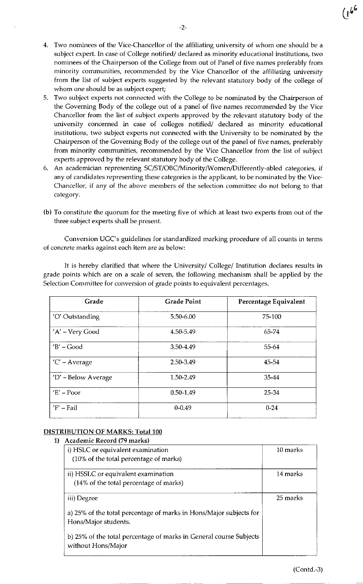- 4. Two nominees of the Vice-Chancellor of the affiliating university of whom one should be <sup>a</sup> subiect expert. In case of College notified/ declared as minority educational institutions, two nominees of the Chairperson of the College from out of Panel of five names preferably from minority communities, recommended by the Vice Chancellor of the affiliating university from the list of subject experts suggested by the relevant statutory body of the college of whom one should be as subject expert;
- 5. Two subject experts not connected with the College to be nominated by the Chairperson of the Goveming Body of the college out of a panel of five names recommended by the Vice Chancellor from the list of subject experts approved by the relevant statutory body of the university concerned in case of colleges notified/ declared as minority educational institutions, two subject experts not connected with the University to be nominated by the Chairperson of the Governing Body of the college out of the panel of five names, preferably from minority communities, recommended by the Vice Chancellor from the list of subject experts approved by the relevant statutory body of the College.
- 6. An academician representing SC/ST/OBC/Minority/Women/Differently-abled categories, if any of candidates representing these categories is the applicant, to be nominated by the Vice-Chancellor, if any of the above members of the selection committee do not belong to that category.
- (b) To constitute the quorum for the meeting five of which at Ieast two experts from out of the three subject experts shall be present.

Conversion UGC's guidelines for standardized marking procedure of all counts in terms of concrete marks against each item are as below:

It is hereby clarified that where the University/ College/ Institution declares results in grade points which are on a scale of seven, the following mechanism shall be applied by the Selection Committee for conversion of grade points to equivalent percentages.

| Grade               | <b>Grade Point</b> | Percentage Equivalent |
|---------------------|--------------------|-----------------------|
| 'O' Outstanding     | 5.50-6.00          | 75-100                |
| 'A' - Very Good     | 4.50-5.49          | 65.74                 |
| $'B'$ – Good        | 3.50-4.49          | 55-64                 |
| 'C' - Average       | 2.50-3.49          | 45-54                 |
| 'D' - Below Average | 1.50-2.49          | 35-44                 |
| $E' - Poor$         | $0.50 - 1.49$      | 25-34                 |
| $F'$ – Fail         | $0 - 0.49$         | $0 - 24$              |

## DISTRIBUTION OF MARKS: Total 100

#### 1) Academic Record (79 marks)

| i) HSLC or equivalent examination                                                        | 10 marks |
|------------------------------------------------------------------------------------------|----------|
| (10% of the total percentage of marks)                                                   |          |
| ii) HSSLC or equivalent examination                                                      | 14 marks |
| (14% of the total percentage of marks)                                                   |          |
| iii) Degree                                                                              | 25 marks |
| a) 25% of the total percentage of marks in Hons/Major subjects for                       |          |
| Hons/Major students.                                                                     |          |
| b) 25% of the total percentage of marks in General course Subjects<br>without Hons/Major |          |

 $\mathbf{U}^+$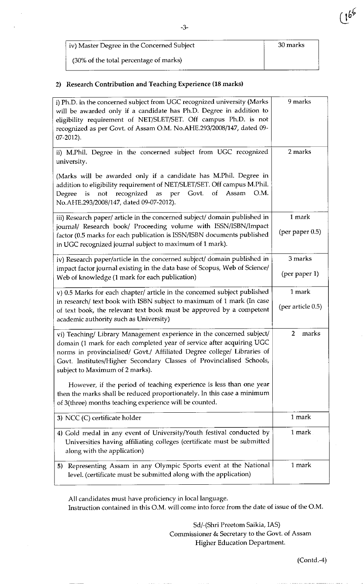| iv) Master Degree in the Concerned Subject | 30 marks |
|--------------------------------------------|----------|
| (30% of the total percentage of marks)     |          |

## 2) Research Contribution and Teaching Experience (18 marks)

| i) Ph.D. in the concerned subject from UGC recognized university (Marks<br>will be awarded only if a candidate has Ph.D. Degree in addition to<br>eligibility requirement of NET/SLET/SET. Off campus Ph.D. is not<br>recognized as per Govt. of Assam O.M. No.AHE.293/2008/147, dated 09-<br>07-2012).                              | 9 marks                      |
|--------------------------------------------------------------------------------------------------------------------------------------------------------------------------------------------------------------------------------------------------------------------------------------------------------------------------------------|------------------------------|
| ii) M.Phil. Degree in the concerned subject from UGC recognized<br>university.                                                                                                                                                                                                                                                       | 2 marks                      |
| (Marks will be awarded only if a candidate has M.Phil. Degree in<br>addition to eligibility requirement of NET/SLET/SET. Off campus M.Phil.<br>recognized<br>as per Govt.<br>of<br>Assam<br>O.M.<br>not<br>Degree<br>is<br>No.AHE.293/2008/147, dated 09-07-2012).                                                                   |                              |
| iii) Research paper/ article in the concerned subject/ domain published in<br>journal/ Research book/ Proceeding volume with ISSN/ISBN/Impact<br>factor (0.5 marks for each publication is ISSN/ISBN documents published<br>in UGC recognized journal subject to maximum of 1 mark).                                                 | 1 mark<br>(per paper $0.5$ ) |
| iv) Research paper/article in the concerned subject/ domain published in<br>impact factor journal existing in the data base of Scopus, Web of Science/<br>Web of knowledge (1 mark for each publication)                                                                                                                             | 3 marks<br>(per paper 1)     |
| v) 0.5 Marks for each chapter/ article in the concerned subject published<br>in research/ text book with ISBN subject to maximum of 1 mark (In case<br>of text book, the relevant text book must be approved by a competent<br>academic authority such as University)                                                                | 1 mark<br>(per article 0.5)  |
| vi) Teaching/ Library Management experience in the concerned subject/<br>domain (1 mark for each completed year of service after acquiring UGC<br>norms in provincialised/ Govt./ Affiliated Degree college/ Libraries of<br>Govt. Institutes/Higher Secondary Classes of Provincialised Schools,<br>subject to Maximum of 2 marks). | marks<br>$\overline{2}$      |
| However, if the period of teaching experience is less than one year<br>then the marks shall be reduced proportionately. In this case a minimum<br>of 3(three) months teaching experience will be counted.                                                                                                                            |                              |
| 3) NCC (C) certificate holder                                                                                                                                                                                                                                                                                                        | 1 mark                       |
| 4) Gold medal in any event of University/Youth festival conducted by<br>Universities having affiliating colleges (certificate must be submitted<br>along with the application)                                                                                                                                                       | 1 mark                       |
| Representing Assam in any Olympic Sports event at the National<br>5)<br>level. (certificate must be submitted along with the application)                                                                                                                                                                                            | 1 mark                       |

All candidates must have proficiency in local language. Instruction contained in this O.M. will come into force from the date of issue of the O.M.

> Sd/-(Shri Preetom Saikia, IAS) Commissioner & Secretary to the Govt. of Assam Higher Education Department.

 $(1^{b^{\varphi}}$